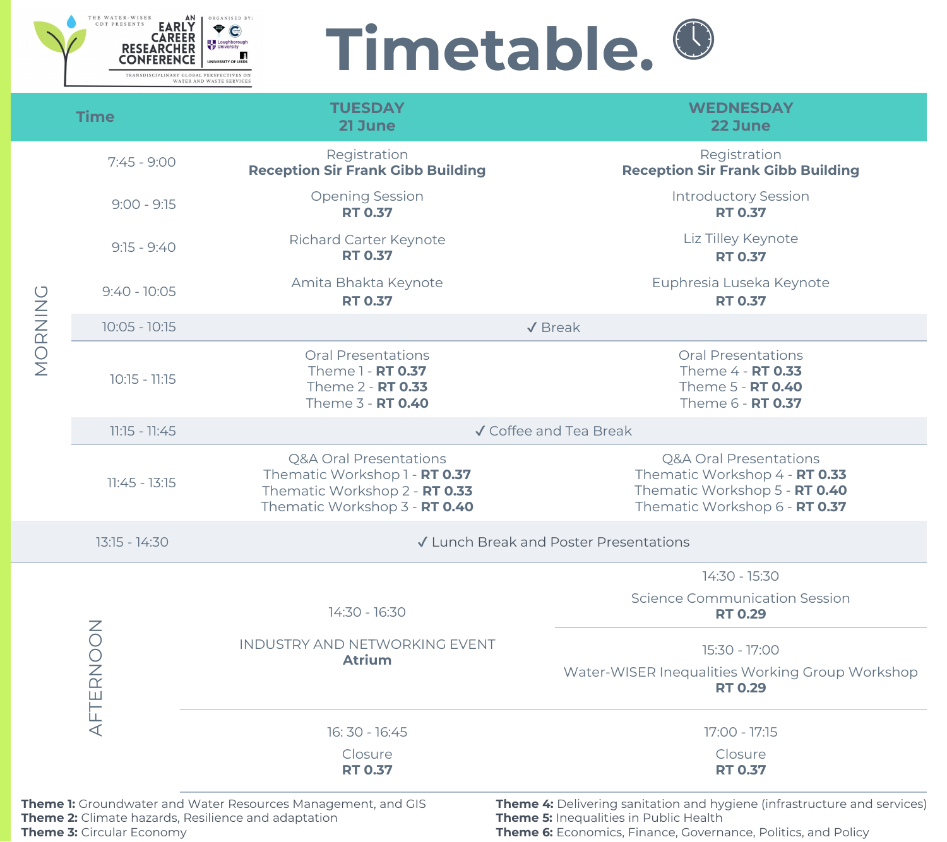

## **Timetable.**

**WEDNESDAY 22 June**

#### Registration **Reception Sir Frank Gibb Building**

Iphresia Luseka Keynote **RT 0.37**

Introductory Session **RT 0.37**

Liz Tilley Keynote **RT 0.37**

| 14:30 - 16:30                                                                                                                     |                                                                                 |
|-----------------------------------------------------------------------------------------------------------------------------------|---------------------------------------------------------------------------------|
| <b>INDUSTRY AND NETWORKING EVENT</b><br><b>Atrium</b>                                                                             | Water-WISER Ine                                                                 |
| $16:30 - 16:45$                                                                                                                   |                                                                                 |
| Closure<br><b>RT 0.37</b>                                                                                                         |                                                                                 |
| <b>Theme 1:</b> Groundwater and Water Resources Management, and GIS<br><b>Theme 2:</b> Climate hazards, Resilience and adaptation | <b>Theme 4: Delivering sanitation</b><br><b>Theme 5: Inequalities in Public</b> |

|                                                                                                     | <b>Time</b>                                                                                            | <b>TUESDAY</b><br>21 June                                                                                                            |                                        |  |
|-----------------------------------------------------------------------------------------------------|--------------------------------------------------------------------------------------------------------|--------------------------------------------------------------------------------------------------------------------------------------|----------------------------------------|--|
|                                                                                                     | $7:45 - 9:00$                                                                                          | Registration<br><b>Reception Sir Frank Gibb Building</b>                                                                             | <b>Reception</b>                       |  |
|                                                                                                     | $9:00 - 9:15$                                                                                          | <b>Opening Session</b><br><b>RT 0.37</b>                                                                                             | Inti                                   |  |
| $9:15 - 9:40$<br>MORNING<br>$9:40 - 10:05$<br>$10:05 - 10:15$<br>$10:15 - 11:15$<br>$11:15 - 11:45$ |                                                                                                        | <b>Richard Carter Keynote</b><br><b>RT 0.37</b>                                                                                      | $\Box$                                 |  |
|                                                                                                     |                                                                                                        | Amita Bhakta Keynote<br><b>RT 0.37</b>                                                                                               | Euphr                                  |  |
|                                                                                                     |                                                                                                        |                                                                                                                                      | $\sqrt{\text{Break}}$                  |  |
|                                                                                                     | <b>Oral Presentations</b><br>Theme 1 - <b>RT 0.37</b><br>Theme 2 - <b>RT 0.33</b><br>Theme 3 - RT 0.40 | O <sub>1</sub><br>Th<br>Th<br>Th                                                                                                     |                                        |  |
|                                                                                                     |                                                                                                        |                                                                                                                                      | √ Coffee and Tea Break                 |  |
|                                                                                                     | $11:45 - 13:15$                                                                                        | <b>Q&amp;A Oral Presentations</b><br>Thematic Workshop 1 - RT 0.37<br>Thematic Workshop 2 - RT 0.33<br>Thematic Workshop 3 - RT 0.40 | Q&A<br>Themati<br>Thematio<br>Themati  |  |
|                                                                                                     | $13:15 - 14:30$                                                                                        |                                                                                                                                      | ✔ Lunch Break and Poster Presentations |  |
|                                                                                                     |                                                                                                        |                                                                                                                                      |                                        |  |

Oral Presentations Theme 4 - **RT 0.33** Theme 5 - **RT 0.40** Theme 6 - **RT 0.37**

**qualities Working Group Workshop RT 0.29**

and hygiene (infrastructure and services) **Health Theme 6:** Economics, Finance, Governance, Politics, and Policy



Q&A Oral Presentations Thematic Workshop 4 - **RT 0.33** Thematic Workshop 5 - **RT 0.40** Thematic Workshop 6 - **RT 0.37**

14:30 - 15:30

Science Communication Session **RT 0.29**

15:30 - 17:00

17:00 - 17:15 **Closure RT 0.37**

**Theme 3:** Circular Economy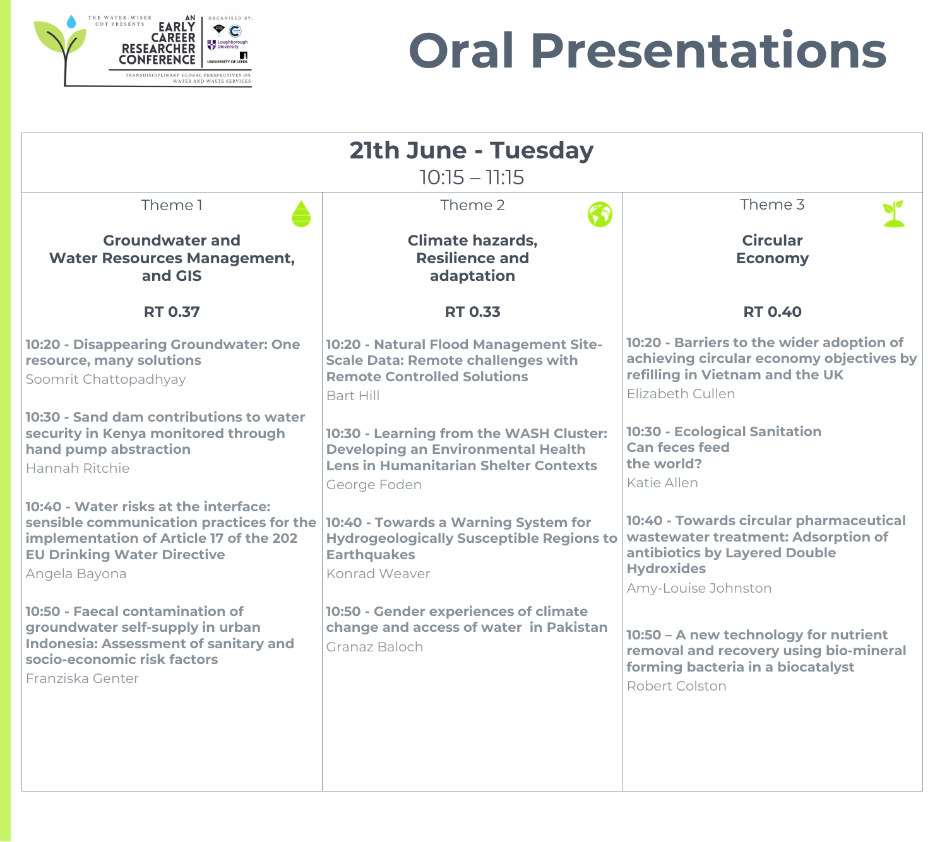**removal and recovery using bio-mineral forming bacteria in a biocatalyst** ert Colston

|                                                                                                                                                                                     | 21th June - Tuesday<br>$10:15 - 11:15$                                                                                                               |                                                     |  |
|-------------------------------------------------------------------------------------------------------------------------------------------------------------------------------------|------------------------------------------------------------------------------------------------------------------------------------------------------|-----------------------------------------------------|--|
|                                                                                                                                                                                     |                                                                                                                                                      |                                                     |  |
| Theme 1                                                                                                                                                                             | Theme 2                                                                                                                                              |                                                     |  |
| <b>Groundwater and</b><br><b>Water Resources Management,</b><br>and GIS                                                                                                             | <b>Climate hazards,</b><br><b>Resilience and</b><br>adaptation                                                                                       |                                                     |  |
| <b>RT 0.37</b>                                                                                                                                                                      | <b>RT 0.33</b>                                                                                                                                       |                                                     |  |
| <b>10:20 - Disappearing Groundwater: One</b><br>resource, many solutions<br>Soomrit Chattopadhyay                                                                                   | 10:20 - Natural Flood Management Site-<br><b>Scale Data: Remote challenges with</b><br><b>Remote Controlled Solutions</b><br><b>Bart Hill</b>        | 10:20<br>achie<br>refilli<br>Elizal                 |  |
| 10:30 - Sand dam contributions to water<br>security in Kenya monitored through<br>hand pump abstraction<br><b>Hannah Ritchie</b>                                                    | 10:30 - Learning from the WASH Cluster:<br><b>Developing an Environmental Health</b><br><b>Lens in Humanitarian Shelter Contexts</b><br>George Foden | 10:30<br>Can 1<br>the v<br>Katie                    |  |
| 10:40 - Water risks at the interface:<br>sensible communication practices for the<br>implementation of Article 17 of the 202<br><b>EU Drinking Water Directive</b><br>Angela Bayona | 10:40 - Towards a Warning System for<br><b>Hydrogeologically Susceptible Regions to</b><br><b>Earthquakes</b><br><b>Konrad Weaver</b>                | 10:40<br>wast<br>antik<br><b>Hydr</b><br><b>Amy</b> |  |
| <b>10:50 - Faecal contamination of</b><br>groundwater self-supply in urban<br><b>Indonesia: Assessment of sanitary and</b><br>socio-economic risk factors<br>Franziska Genter       | <b>10:50 - Gender experiences of climate</b><br>change and access of water in Pakistan<br>Granaz Baloch                                              | 10:50<br>remo<br>form<br>Robe                       |  |
|                                                                                                                                                                                     |                                                                                                                                                      |                                                     |  |





## **Oral Presentations**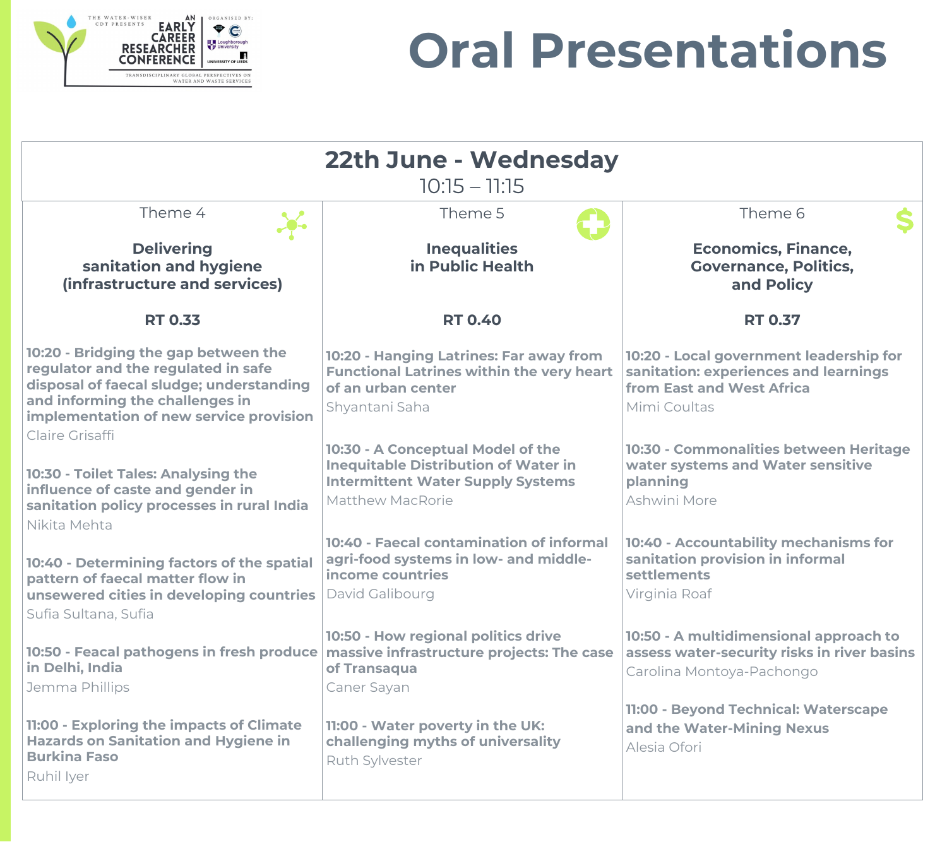**10:20 - Local government leadership for sanitation: experiences and learnings East and West Africa** Coultas

**10:30 - Commonalities between Heritage water systems and Water sensitive planning** ini More

**10:40 - Accountability mechanisms for sanitation provision in informal sments** iia Roaf

**10:50 - A multidimensional approach to assess water-security risks in river basins** ina Montoya-Pachongo

**12:00 - Beyond Technical: Waterscape and the Water-Mining Nexus** Ofori

|                                                                                                                                                                                                                          | 22th June - Wednesday<br>$10:15 - 11:15$                                                                                                                |                                     |
|--------------------------------------------------------------------------------------------------------------------------------------------------------------------------------------------------------------------------|---------------------------------------------------------------------------------------------------------------------------------------------------------|-------------------------------------|
| Theme 4                                                                                                                                                                                                                  | Theme 5                                                                                                                                                 |                                     |
| <b>Delivering</b><br>sanitation and hygiene<br>(infrastructure and services)                                                                                                                                             | <b>Inequalities</b><br>in Public Health                                                                                                                 |                                     |
| <b>RT 0.33</b>                                                                                                                                                                                                           | <b>RT 0.40</b>                                                                                                                                          |                                     |
| 10:20 - Bridging the gap between the<br>regulator and the regulated in safe<br>disposal of faecal sludge; understanding<br>and informing the challenges in<br>implementation of new service provision<br>Claire Grisaffi | 10:20 - Hanging Latrines: Far away from<br><b>Functional Latrines within the very heart</b><br>of an urban center<br>Shyantani Saha                     | 10:20<br>sanita<br>from I<br>Mimi   |
| 10:30 - Toilet Tales: Analysing the<br>influence of caste and gender in<br>sanitation policy processes in rural India<br>Nikita Mehta                                                                                    | 10:30 - A Conceptual Model of the<br><b>Inequitable Distribution of Water in</b><br><b>Intermittent Water Supply Systems</b><br><b>Matthew MacRorie</b> | 10:30<br>water<br>plann<br>Ashwi    |
| 10:40 - Determining factors of the spatial<br>pattern of faecal matter flow in<br>unsewered cities in developing countries<br>Sufia Sultana, Sufia                                                                       | 10:40 - Faecal contamination of informal<br>agri-food systems in low- and middle-<br>income countries<br>David Galibourg                                | 10:40<br>sanita<br>settle<br>Virgin |
| 10:50 - Feacal pathogens in fresh produce<br>in Delhi, India<br>Jemma Phillips                                                                                                                                           | 10:50 - How regional politics drive<br>massive infrastructure projects: The case<br>of Transaqua<br><b>Caner Sayan</b>                                  | 10:50<br>asses:<br>Caroli           |
| 11:00 - Exploring the impacts of Climate<br><b>Hazards on Sanitation and Hygiene in</b><br><b>Burkina Faso</b><br>Ruhil Iyer                                                                                             | 11:00 - Water poverty in the UK:<br>challenging myths of universality<br><b>Ruth Sylvester</b>                                                          | 11:00 -<br>and tl<br><b>Alesia</b>  |

Theme 6

### **Economics, Finance, Governance, Politics, and Policy**

### **RT 0.37**



### **Oral Presentations**